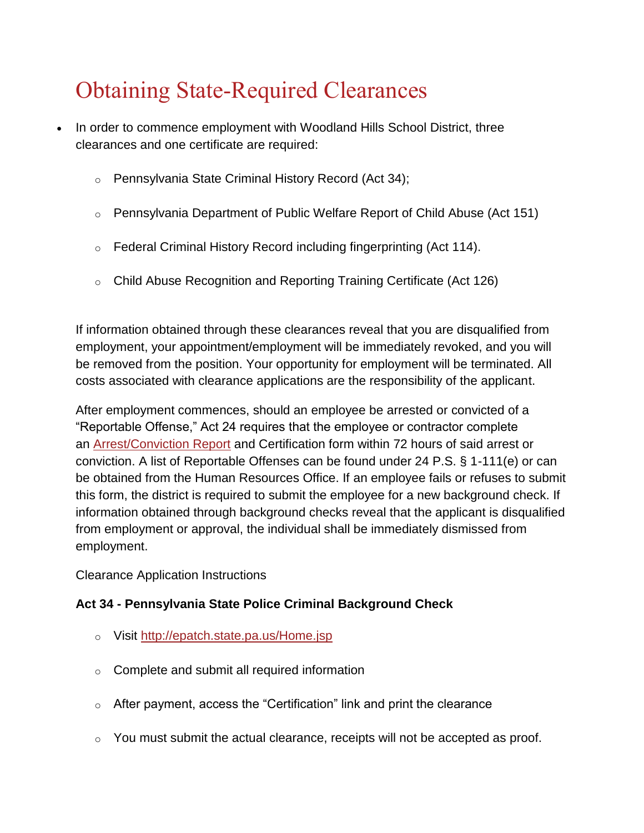# Obtaining State-Required Clearances

- In order to commence employment with Woodland Hills School District, three clearances and one certificate are required:
	- o Pennsylvania State Criminal History Record (Act 34);
	- o Pennsylvania Department of Public Welfare Report of Child Abuse (Act 151)
	- o Federal Criminal History Record including fingerprinting (Act 114).
	- o Child Abuse Recognition and Reporting Training Certificate (Act 126)

If information obtained through these clearances reveal that you are disqualified from employment, your appointment/employment will be immediately revoked, and you will be removed from the position. Your opportunity for employment will be terminated. All costs associated with clearance applications are the responsibility of the applicant.

After employment commences, should an employee be arrested or convicted of a "Reportable Offense," Act 24 requires that the employee or contractor complete an [Arrest/Conviction Report](http://www.education.pa.gov/documents/teachers-administrators/background%20Checks/arrest%20or%20conviction%20form.pdf) and Certification form within 72 hours of said arrest or conviction. A list of Reportable Offenses can be found under 24 P.S. § 1-111(e) or can be obtained from the Human Resources Office. If an employee fails or refuses to submit this form, the district is required to submit the employee for a new background check. If information obtained through background checks reveal that the applicant is disqualified from employment or approval, the individual shall be immediately dismissed from employment.

Clearance Application Instructions

## **Act 34 - Pennsylvania State Police Criminal Background Check**

- o Visit <http://epatch.state.pa.us/Home.jsp>
- $\circ$  Complete and submit all required information
- $\circ$  After payment, access the "Certification" link and print the clearance
- $\circ$  You must submit the actual clearance, receipts will not be accepted as proof.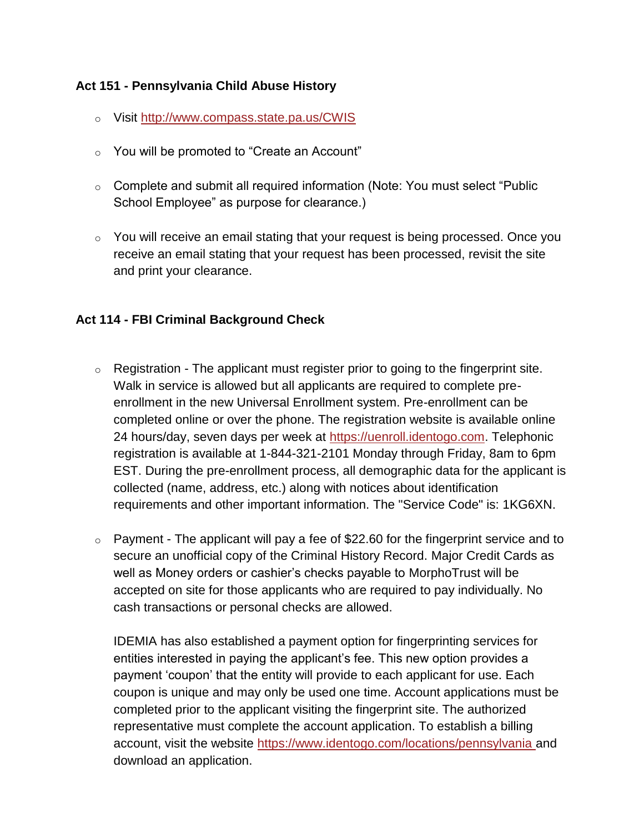### **Act 151 - Pennsylvania Child Abuse History**

- o Visit <http://www.compass.state.pa.us/CWIS>
- o You will be promoted to "Create an Account"
- o Complete and submit all required information (Note: You must select "Public School Employee" as purpose for clearance.)
- o You will receive an email stating that your request is being processed. Once you receive an email stating that your request has been processed, revisit the site and print your clearance.

### **Act 114 - FBI Criminal Background Check**

- $\circ$  Registration The applicant must register prior to going to the fingerprint site. Walk in service is allowed but all applicants are required to complete preenrollment in the new Universal Enrollment system. Pre-enrollment can be completed online or over the phone. The registration website is available online 24 hours/day, seven days per week at [https://uenroll.identogo.com.](https://uenroll.identogo.com/) Telephonic registration is available at 1-844-321-2101 Monday through Friday, 8am to 6pm EST. During the pre-enrollment process, all demographic data for the applicant is collected (name, address, etc.) along with notices about identification requirements and other important information. The "Service Code" is: 1KG6XN.
- $\circ$  Payment The applicant will pay a fee of \$22.60 for the fingerprint service and to secure an unofficial copy of the Criminal History Record. Major Credit Cards as well as Money orders or cashier's checks payable to MorphoTrust will be accepted on site for those applicants who are required to pay individually. No cash transactions or personal checks are allowed.

IDEMIA has also established a payment option for fingerprinting services for entities interested in paying the applicant's fee. This new option provides a payment 'coupon' that the entity will provide to each applicant for use. Each coupon is unique and may only be used one time. Account applications must be completed prior to the applicant visiting the fingerprint site. The authorized representative must complete the account application. To establish a billing account, visit the website <https://www.identogo.com/locations/pennsylvania> and download an application.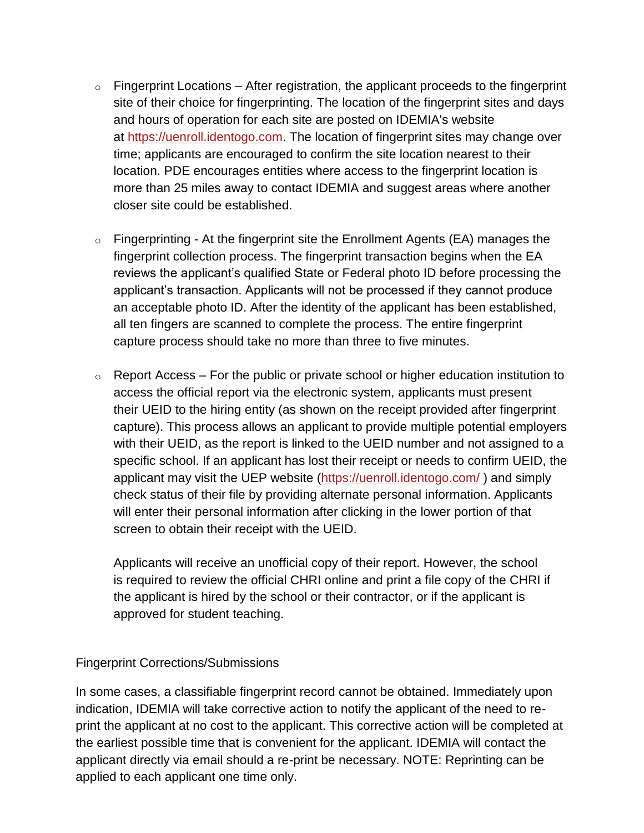- $\circ$  Fingerprint Locations After registration, the applicant proceeds to the fingerprint site of their choice for fingerprinting. The location of the fingerprint sites and days and hours of operation for each site are posted on IDEMIA's website at [https://uenroll.identogo.com.](https://uenroll.identogo.com/) The location of fingerprint sites may change over time; applicants are encouraged to confirm the site location nearest to their location. PDE encourages entities where access to the fingerprint location is more than 25 miles away to contact IDEMIA and suggest areas where another closer site could be established.
- $\circ$  Fingerprinting At the fingerprint site the Enrollment Agents (EA) manages the fingerprint collection process. The fingerprint transaction begins when the EA reviews the applicant's qualified State or Federal photo ID before processing the applicant's transaction. Applicants will not be processed if they cannot produce an acceptable photo ID. After the identity of the applicant has been established, all ten fingers are scanned to complete the process. The entire fingerprint capture process should take no more than three to five minutes.
- $\circ$  Report Access For the public or private school or higher education institution to access the official report via the electronic system, applicants must present their UEID to the hiring entity (as shown on the receipt provided after fingerprint capture). This process allows an applicant to provide multiple potential employers with their UEID, as the report is linked to the UEID number and not assigned to a specific school. If an applicant has lost their receipt or needs to confirm UEID, the applicant may visit the UEP website [\(https://uenroll.identogo.com/](https://uenroll.identogo.com/) ) and simply check status of their file by providing alternate personal information. Applicants will enter their personal information after clicking in the lower portion of that screen to obtain their receipt with the UEID.

Applicants will receive an unofficial copy of their report. However, the school is required to review the official CHRI online and print a file copy of the CHRI if the applicant is hired by the school or their contractor, or if the applicant is approved for student teaching.

#### Fingerprint Corrections/Submissions

In some cases, a classifiable fingerprint record cannot be obtained. Immediately upon indication, IDEMIA will take corrective action to notify the applicant of the need to reprint the applicant at no cost to the applicant. This corrective action will be completed at the earliest possible time that is convenient for the applicant. IDEMIA will contact the applicant directly via email should a re-print be necessary. NOTE: Reprinting can be applied to each applicant one time only.